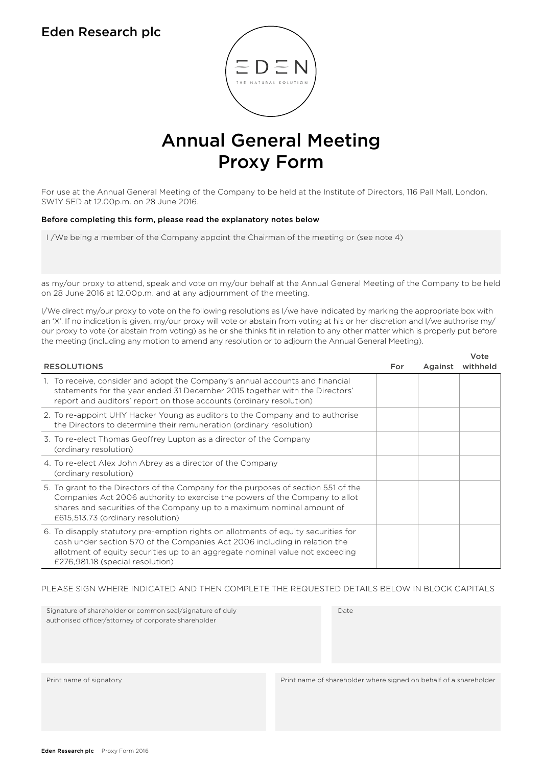## Eden Research plc



# Annual General Meeting Proxy Form

For use at the Annual General Meeting of the Company to be held at the Institute of Directors, 116 Pall Mall, London, SW1Y 5ED at 12.00p.m. on 28 June 2016.

#### Before completing this form, please read the explanatory notes below

I /We being a member of the Company appoint the Chairman of the meeting or (see note 4)

as my/our proxy to attend, speak and vote on my/our behalf at the Annual General Meeting of the Company to be held on 28 June 2016 at 12.00p.m. and at any adjournment of the meeting.

I/We direct my/our proxy to vote on the following resolutions as I/we have indicated by marking the appropriate box with an 'X'. If no indication is given, my/our proxy will vote or abstain from voting at his or her discretion and I/we authorise my/ our proxy to vote (or abstain from voting) as he or she thinks fit in relation to any other matter which is properly put before the meeting (including any motion to amend any resolution or to adjourn the Annual General Meeting).

Vote

| <b>RESOLUTIONS</b>                                                                                                                                                                                                                                                                    | For | Against | vote<br>withheld |
|---------------------------------------------------------------------------------------------------------------------------------------------------------------------------------------------------------------------------------------------------------------------------------------|-----|---------|------------------|
| 1. To receive, consider and adopt the Company's annual accounts and financial<br>statements for the year ended 31 December 2015 together with the Directors'<br>report and auditors' report on those accounts (ordinary resolution)                                                   |     |         |                  |
| 2. To re-appoint UHY Hacker Young as auditors to the Company and to authorise<br>the Directors to determine their remuneration (ordinary resolution)                                                                                                                                  |     |         |                  |
| 3. To re-elect Thomas Geoffrey Lupton as a director of the Company<br>(ordinary resolution)                                                                                                                                                                                           |     |         |                  |
| 4. To re-elect Alex John Abrey as a director of the Company<br>(ordinary resolution)                                                                                                                                                                                                  |     |         |                  |
| 5. To grant to the Directors of the Company for the purposes of section 551 of the<br>Companies Act 2006 authority to exercise the powers of the Company to allot<br>shares and securities of the Company up to a maximum nominal amount of<br>£615,513.73 (ordinary resolution)      |     |         |                  |
| 6. To disapply statutory pre-emption rights on allotments of equity securities for<br>cash under section 570 of the Companies Act 2006 including in relation the<br>allotment of equity securities up to an aggregate nominal value not exceeding<br>£276,981.18 (special resolution) |     |         |                  |

#### PLEASE SIGN WHERE INDICATED AND THEN COMPLETE THE REQUESTED DETAILS BELOW IN BLOCK CAPITALS

| Signature of shareholder or common seal/signature of duly<br>authorised officer/attorney of corporate shareholder | Date                                                              |
|-------------------------------------------------------------------------------------------------------------------|-------------------------------------------------------------------|
|                                                                                                                   |                                                                   |
| Print name of signatory                                                                                           | Print name of shareholder where signed on behalf of a shareholder |